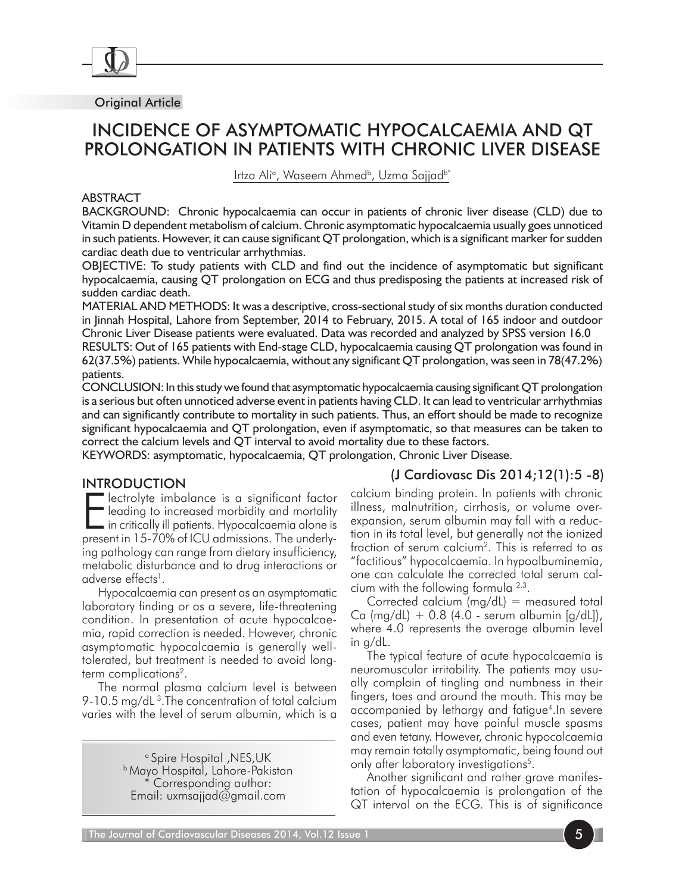

Original Article

# INCIDENCE OF ASYMPTOMATIC HYPOCALCAEMIA AND QT PROLONGATION IN PATIENTS WITH CHRONIC LIVER DISEASE

Irtza Aliª, Waseem Ahmed<sup>b</sup>, Uzma Sajjad<sup>b\*</sup>

#### ABSTRACT

BACKGROUND: Chronic hypocalcaemia can occur in patients of chronic liver disease (CLD) due to Vitamin D dependent metabolism of calcium. Chronic asymptomatic hypocalcaemia usually goes unnoticed in such patients. However, it can cause significant QT prolongation, which is a significant marker for sudden cardiac death due to ventricular arrhythmias.

OBJECTIVE: To study patients with CLD and find out the incidence of asymptomatic but significant hypocalcaemia, causing QT prolongation on ECG and thus predisposing the patients at increased risk of sudden cardiac death.

MATERIAL AND METHODS: It was a descriptive, cross-sectional study of six months duration conducted in Jinnah Hospital, Lahore from September, 2014 to February, 2015. A total of 165 indoor and outdoor Chronic Liver Disease patients were evaluated. Data was recorded and analyzed by SPSS version 16.0

RESULTS: Out of 165 patients with End-stage CLD, hypocalcaemia causing QT prolongation was found in 62(37.5%) patients. While hypocalcaemia, without any significant QT prolongation, was seen in 78(47.2%) patients.

CONCLUSION: In this study we found that asymptomatic hypocalcaemia causing significant QT prolongation is a serious but often unnoticed adverse event in patients having CLD. It can lead to ventricular arrhythmias and can significantly contribute to mortality in such patients. Thus, an effort should be made to recognize significant hypocalcaemia and QT prolongation, even if asymptomatic, so that measures can be taken to correct the calcium levels and QT interval to avoid mortality due to these factors.

KEYWORDS: asymptomatic, hypocalcaemia, QT prolongation, Chronic Liver Disease.

### **INTRODUCTION**

Electrolyte imbalance is a significant factor<br>leading to increased morbidity and mortality<br>in critically ill patients. Hypocalcaemia alone is<br>present in 15,70% of ICLI admissions. The underly lectrolyte imbalance is a significant factor leading to increased morbidity and mortality present in 15-70% of ICU admissions. The underlying pathology can range from dietary insufficiency, metabolic disturbance and to drug interactions or adverse effects<sup>1</sup>.

Hypocalcaemia can present as an asymptomatic laboratory finding or as a severe, life-threatening condition. In presentation of acute hypocalcaemia, rapid correction is needed. However, chronic asymptomatic hypocalcaemia is generally welltolerated, but treatment is needed to avoid longterm complications<sup>2</sup>.

The normal plasma calcium level is between 9-10.5 mg/dL<sup>3</sup>. The concentration of total calcium varies with the level of serum albumin, which is a

> a Spire Hospital ,NES,UK b Mayo Hospital, Lahore-Pakistan Corresponding author: Email: uxmsajjad@gmail.com

## (J Cardiovasc Dis 2014;12(1):5 -8)

calcium binding protein. In patients with chronic illness, malnutrition, cirrhosis, or volume overexpansion, serum albumin may fall with a reduction in its total level, but generally not the ionized fraction of serum calcium2. This is referred to as "factitious" hypocalcaemia. In hypoalbuminemia, one can calculate the corrected total serum calcium with the following formula 2,3.

Corrected calcium  $(mg/dL)$  = measured total Ca (mg/dL)  $+$  0.8 (4.0 - serum albumin [g/dL]), where 4.0 represents the average albumin level in g/dL.

The typical feature of acute hypocalcaemia is neuromuscular irritability. The patients may usually complain of tingling and numbness in their fingers, toes and around the mouth. This may be accompanied by lethargy and fatigue<sup>4</sup>. In severe cases, patient may have painful muscle spasms and even tetany. However, chronic hypocalcaemia may remain totally asymptomatic, being found out only after laboratory investigations<sup>5</sup>.

Another significant and rather grave manifestation of hypocalcaemia is prolongation of the QT interval on the ECG. This is of significance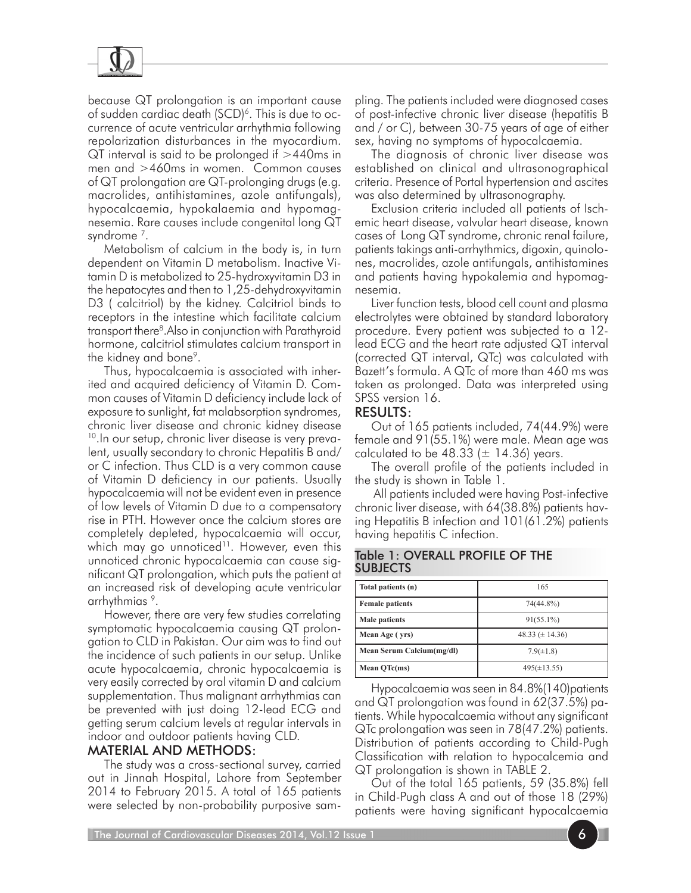

because QT prolongation is an important cause of sudden cardiac death  $(SCD)^6$ . This is due to occurrence of acute ventricular arrhythmia following repolarization disturbances in the myocardium. QT interval is said to be prolonged if >440ms in men and >460ms in women. Common causes of QT prolongation are QT-prolonging drugs (e.g. macrolides, antihistamines, azole antifungals), hypocalcaemia, hypokalaemia and hypomagnesemia. Rare causes include congenital long QT syndrome<sup>7</sup>.

Metabolism of calcium in the body is, in turn dependent on Vitamin D metabolism. Inactive Vitamin D is metabolized to 25-hydroxyvitamin D3 in the hepatocytes and then to 1,25-dehydroxyvitamin D3 ( calcitriol) by the kidney. Calcitriol binds to receptors in the intestine which facilitate calcium transport there8 .Also in conjunction with Parathyroid hormone, calcitriol stimulates calcium transport in the kidney and bone<sup>9</sup>.

Thus, hypocalcaemia is associated with inherited and acquired deficiency of Vitamin D. Common causes of Vitamin D deficiency include lack of exposure to sunlight, fat malabsorption syndromes, chronic liver disease and chronic kidney disease <sup>10</sup>. In our setup, chronic liver disease is very prevalent, usually secondary to chronic Hepatitis B and/ or C infection. Thus CLD is a very common cause of Vitamin D deficiency in our patients. Usually hypocalcaemia will not be evident even in presence of low levels of Vitamin D due to a compensatory rise in PTH. However once the calcium stores are completely depleted, hypocalcaemia will occur, which may go unnoticed<sup>11</sup>. However, even this unnoticed chronic hypocalcaemia can cause significant QT prolongation, which puts the patient at an increased risk of developing acute ventricular arrhythmias 9.

However, there are very few studies correlating symptomatic hypocalcaemia causing QT prolongation to CLD in Pakistan. Our aim was to find out the incidence of such patients in our setup. Unlike acute hypocalcaemia, chronic hypocalcaemia is very easily corrected by oral vitamin D and calcium supplementation. Thus malignant arrhythmias can be prevented with just doing 12-lead ECG and getting serum calcium levels at regular intervals in indoor and outdoor patients having CLD.

### MATERIAL AND METHODS:

The study was a cross-sectional survey, carried out in Jinnah Hospital, Lahore from September 2014 to February 2015. A total of 165 patients were selected by non-probability purposive sampling. The patients included were diagnosed cases of post-infective chronic liver disease (hepatitis B and / or C), between 30-75 years of age of either sex, having no symptoms of hypocalcaemia.

The diagnosis of chronic liver disease was established on clinical and ultrasonographical criteria. Presence of Portal hypertension and ascites was also determined by ultrasonography.

Exclusion criteria included all patients of Ischemic heart disease, valvular heart disease, known cases of Long QT syndrome, chronic renal failure, patients takings anti-arrhythmics, digoxin, quinolones, macrolides, azole antifungals, antihistamines and patients having hypokalemia and hypomagnesemia.

Liver function tests, blood cell count and plasma electrolytes were obtained by standard laboratory procedure. Every patient was subjected to a 12 lead  $ECG$  and the heart rate adjusted  $QI$  interval (corrected QT interval, QTc) was calculated with Bazett's formula. A QTc of more than 460 ms was taken as prolonged. Data was interpreted using SPSS version 16.

#### RESULTS:

Out of 165 patients included, 74(44.9%) were female and 91(55.1%) were male. Mean age was calculated to be 48.33 ( $\pm$  14.36) years.

The overall profile of the patients included in the study is shown in Table 1.

 All patients included were having Post-infective chronic liver disease, with 64(38.8%) patients having Hepatitis B infection and 101(61.2%) patients having hepatitis C infection.

|                 | Table 1: OVERALL PROFILE OF THE |  |  |
|-----------------|---------------------------------|--|--|
| <b>SUBJECTS</b> |                                 |  |  |

| Total patients (n)        | 165                 |
|---------------------------|---------------------|
| <b>Female patients</b>    | 74(44.8%)           |
| <b>Male patients</b>      | $91(55.1\%)$        |
| Mean Age (vrs)            | 48.33 $(\pm 14.36)$ |
| Mean Serum Calcium(mg/dl) | $7.9(\pm1.8)$       |
| Mean QTc(ms)              | $495(\pm 13.55)$    |

Hypocalcaemia was seen in 84.8%(140)patients and QT prolongation was found in 62(37.5%) patients. While hypocalcaemia without any significant QTc prolongation was seen in 78(47.2%) patients. Distribution of patients according to Child-Pugh Classification with relation to hypocalcemia and QT prolongation is shown in TABLE 2.

Out of the total 165 patients, 59 (35.8%) fell in Child-Pugh class A and out of those 18 (29%) patients were having significant hypocalcaemia

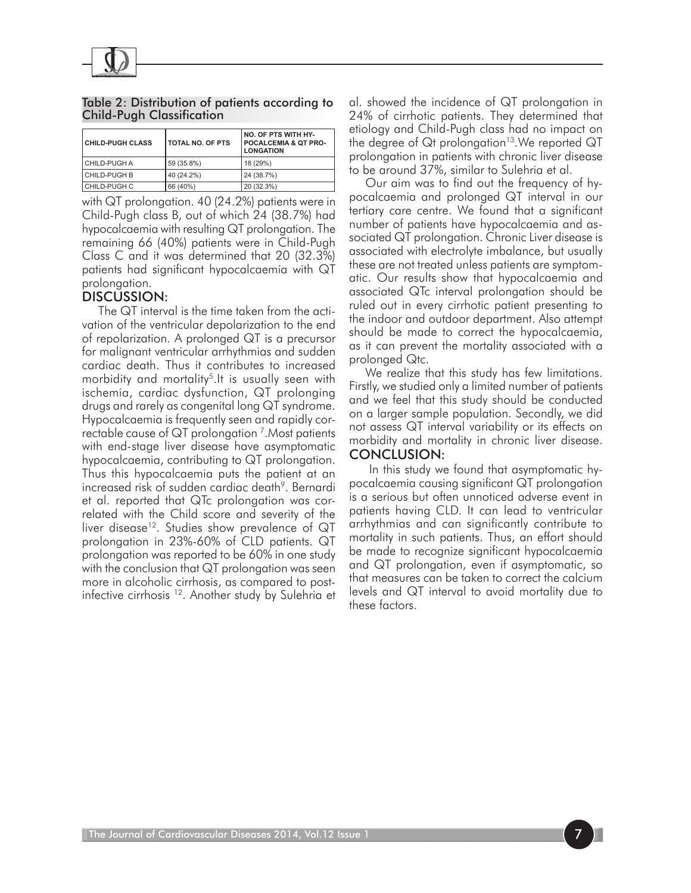

Table 2: Distribution of patients according to Child-Pugh Classification

| <b>CHILD-PUGH CLASS</b> | TOTAL NO. OF PTS | <b>NO. OF PTS WITH HY-</b><br><b>POCALCEMIA &amp; QT PRO-</b><br><b>LONGATION</b> |
|-------------------------|------------------|-----------------------------------------------------------------------------------|
| l CHILD-PUGH A          | 59 (35.8%)       | 18 (29%)                                                                          |
| I CHILD-PUGH B          | 40 (24.2%)       | 24 (38.7%)                                                                        |
| CHILD-PUGH C            | 66 (40%)         | 20 (32.3%)                                                                        |

with QT prolongation. 40 (24.2%) patients were in Child-Pugh class B, out of which 24 (38.7%) had hypocalcaemia with resulting QT prolongation. The remaining 66 (40%) patients were in Child-Pugh Class C and it was determined that 20 (32.3%) patients had significant hypocalcaemia with QT prolongation.

## DISCUSSION:

The QT interval is the time taken from the activation of the ventricular depolarization to the end of repolarization. A prolonged QT is a precursor for malignant ventricular arrhythmias and sudden cardiac death. Thus it contributes to increased morbidity and mortality<sup>5</sup>. It is usually seen with ischemia, cardiac dysfunction, QT prolonging drugs and rarely as congenital long QT syndrome. Hypocalcaemia is frequently seen and rapidly correctable cause of QT prolongation 7.Most patients with end-stage liver disease have asymptomatic hypocalcaemia, contributing to QT prolongation. Thus this hypocalcaemia puts the patient at an increased risk of sudden cardiac death<sup>9</sup>. Bernardi et al. reported that QTc prolongation was correlated with the Child score and severity of the liver disease<sup>12</sup>. Studies show prevalence of  $QT$ prolongation in 23%-60% of CLD patients. QT prolongation was reported to be 60% in one study with the conclusion that QT prolongation was seen more in alcoholic cirrhosis, as compared to postinfective cirrhosis<sup>12</sup>. Another study by Sulehria et

al. showed the incidence of QT prolongation in 24% of cirrhotic patients. They determined that etiology and Child-Pugh class had no impact on the degree of  $\mathsf{Q}$ t prolongation<sup>13</sup>.We reported  $\mathsf{Q} \mathsf{T}$ prolongation in patients with chronic liver disease to be around 37%, similar to Sulehria et al.

Our aim was to find out the frequency of hypocalcaemia and prolonged QT interval in our tertiary care centre. We found that a significant number of patients have hypocalcaemia and associated QT prolongation. Chronic Liver disease is associated with electrolyte imbalance, but usually these are not treated unless patients are symptomatic. Our results show that hypocalcaemia and associated QTc interval prolongation should be ruled out in every cirrhotic patient presenting to the indoor and outdoor department. Also attempt should be made to correct the hypocalcaemia, as it can prevent the mortality associated with a prolonged Qtc.

We realize that this study has few limitations. Firstly, we studied only a limited number of patients and we feel that this study should be conducted on a larger sample population. Secondly, we did not assess QT interval variability or its effects on morbidity and mortality in chronic liver disease. CONCLUSION:

 In this study we found that asymptomatic hypocalcaemia causing significant QT prolongation is a serious but often unnoticed adverse event in patients having CLD. It can lead to ventricular arrhythmias and can significantly contribute to mortality in such patients. Thus, an effort should be made to recognize significant hypocalcaemia and QT prolongation, even if asymptomatic, so that measures can be taken to correct the calcium levels and QT interval to avoid mortality due to these factors.